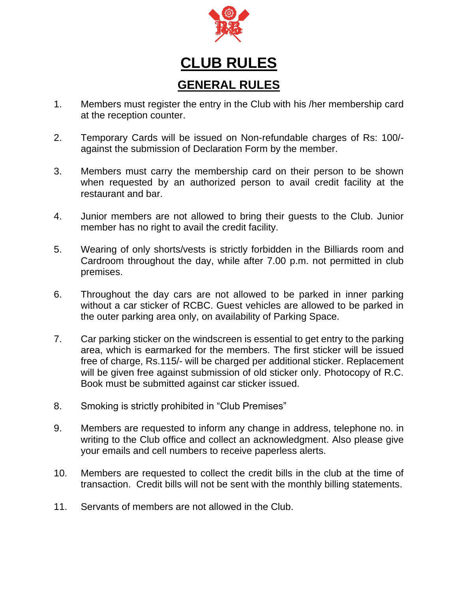

## **CLUB RULES GENERAL RULES**

- 1. Members must register the entry in the Club with his /her membership card at the reception counter.
- 2. Temporary Cards will be issued on Non-refundable charges of Rs: 100/ against the submission of Declaration Form by the member.
- 3. Members must carry the membership card on their person to be shown when requested by an authorized person to avail credit facility at the restaurant and bar.
- 4. Junior members are not allowed to bring their guests to the Club. Junior member has no right to avail the credit facility.
- 5. Wearing of only shorts/vests is strictly forbidden in the Billiards room and Cardroom throughout the day, while after 7.00 p.m. not permitted in club premises.
- 6. Throughout the day cars are not allowed to be parked in inner parking without a car sticker of RCBC. Guest vehicles are allowed to be parked in the outer parking area only, on availability of Parking Space.
- 7. Car parking sticker on the windscreen is essential to get entry to the parking area, which is earmarked for the members. The first sticker will be issued free of charge, Rs.115/- will be charged per additional sticker. Replacement will be given free against submission of old sticker only. Photocopy of R.C. Book must be submitted against car sticker issued.
- 8. Smoking is strictly prohibited in "Club Premises"
- 9. Members are requested to inform any change in address, telephone no. in writing to the Club office and collect an acknowledgment. Also please give your emails and cell numbers to receive paperless alerts.
- 10. Members are requested to collect the credit bills in the club at the time of transaction. Credit bills will not be sent with the monthly billing statements.
- 11. Servants of members are not allowed in the Club.